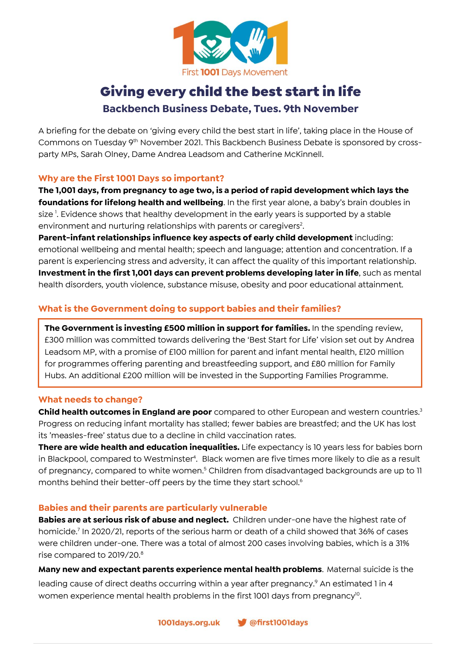

# Giving every child the best start in life **Backbench Business Debate, Tues. 9th November**

A briefing for the debate on 'giving every child the best start in life', taking place in the House of Commons on Tuesday 9<sup>th</sup> November 2021. This Backbench Business Debate is sponsored by crossparty MPs, Sarah Olney, Dame Andrea Leadsom and Catherine McKinnell.

### **Why are the First 1001 Days so important?**

**The 1,001 days, from pregnancy to age two, is a period of rapid development which lays the foundations for lifelong health and wellbeing**. In the first year alone, a baby's brain doubles in size <sup>1</sup>. Evidence shows that healthy development in the early years is supported by a stable environment and nurturing relationships with parents or caregivers<sup>2</sup>.

**Parent-infant relationships influence key aspects of early child development** including: emotional wellbeing and mental health; speech and language; attention and concentration. If a parent is experiencing stress and adversity, it can affect the quality of this important relationship. **Investment in the first 1,001 days can prevent problems developing later in life**, such as mental health disorders, youth violence, substance misuse, obesity and poor educational attainment.

### **What is the Government doing to support babies and their families?**

**The Government is investing £500 million in support for families.** In the spending review, £300 million was committed towards delivering the 'Best Start for Life' vision set out by Andrea Leadsom MP, with a promise of £100 million for parent and infant mental health, £120 million for programmes offering parenting and breastfeeding support, and £80 million for Family Hubs. An additional £200 million will be invested in the Supporting Families Programme.

### **What needs to change?**

**Child health outcomes in England are poor** compared to other European and western countries.<sup>3</sup> Progress on reducing infant mortality has stalled; fewer babies are breastfed; and the UK has lost its 'measles-free' status due to a decline in child vaccination rates.

**There are wide health and education inequalities.** Life expectancy is 10 years less for babies born in Blackpool, compared to Westminster<sup>4</sup>. Black women are five times more likely to die as a result of pregnancy, compared to white women.<sup>5</sup> Children from disadvantaged backgrounds are up to 11 months behind their better-off peers by the time they start school.<sup>6</sup>

### **Babies and their parents are particularly vulnerable**

**Babies are at serious risk of abuse and neglect.** Children under-one have the highest rate of homicide.<sup>7</sup> In 2020/21, reports of the serious harm or death of a child showed that 36% of cases were children under-one. There was a total of almost 200 cases involving babies, which is a 31% rise compared to 2019/20. 8

**Many new and expectant parents experience mental health problems**. Maternal suicide is the leading cause of direct deaths occurring within a year after pregnancy.<sup>9</sup> An estimated 1 in 4 women experience mental health problems in the first 1001 days from pregnancy $^{10}$ .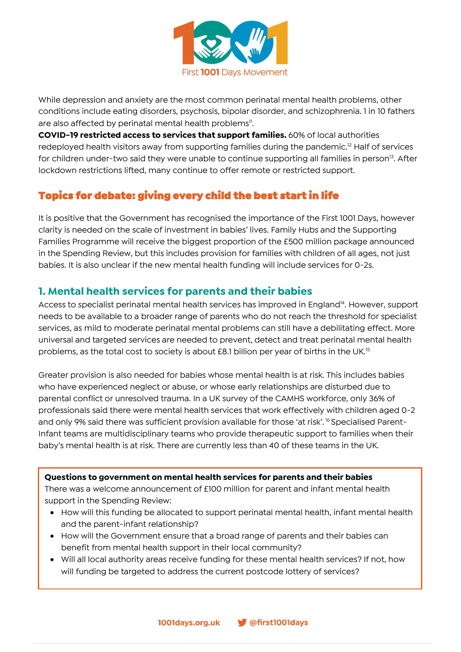

While depression and anxiety are the most common perinatal mental health problems, other conditions include eating disorders, psychosis, bipolar disorder, and schizophrenia. 1 in 10 fathers are also affected by perinatal mental health problems<sup>11</sup>.

**COVID-19 restricted access to services that support families.** 60% of local authorities redeployed health visitors away from supporting families during the pandemic. <sup>12</sup> Half of services for children under-two said they were unable to continue supporting all families in person<sup>13</sup>. After lockdown restrictions lifted, many continue to offer remote or restricted support.

# Topics for debate: giving every child the best start in life

It is positive that the Government has recognised the importance of the First 1001 Days, however clarity is needed on the scale of investment in babies' lives. Family Hubs and the Supporting Families Programme will receive the biggest proportion of the £500 million package announced in the Spending Review, but this includes provision for families with children of all ages, not just babies. It is also unclear if the new mental health funding will include services for 0-2s.

### **1. Mental health services for parents and their babies**

Access to specialist perinatal mental health services has improved in England<sup>14</sup>. However, support needs to be available to a broader range of parents who do not reach the threshold for specialist services, as mild to moderate perinatal mental problems can still have a debilitating effect. More universal and targeted services are needed to prevent, detect and treat perinatal mental health problems, as the total cost to society is about £8.1 billion per year of births in the UK.<sup>15</sup>

Greater provision is also needed for babies whose mental health is at risk. This includes babies who have experienced neglect or abuse, or whose early relationships are disturbed due to parental conflict or unresolved trauma. In a UK survey of the CAMHS workforce, only 36% of professionals said there were mental health services that work effectively with children aged 0-2 and only 9% said there was sufficient provision available for those 'at risk'.<sup>16</sup> Specialised Parent-Infant teams are multidisciplinary teams who provide therapeutic support to families when their baby's mental health is at risk. There are currently less than 40 of these teams in the UK.

### **Questions to government on mental health services for parents and their babies**

There was a welcome announcement of £100 million for parent and infant mental health support in the Spending Review:

- How will this funding be allocated to support perinatal mental health, infant mental health and the parent-infant relationship?
- How will the Government ensure that a broad range of parents and their babies can benefit from mental health support in their local community?
- Will all local authority areas receive funding for these mental health services? If not, how will funding be targeted to address the current postcode lottery of services?

@first1001days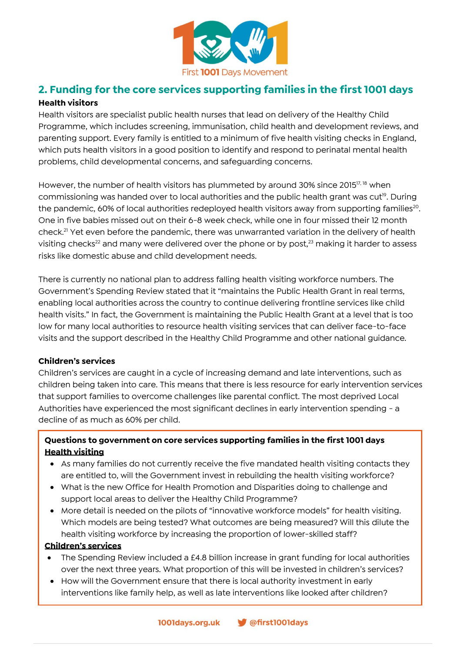

### **2. Funding for the core services supporting families in the first 1001 days Health visitors**

Health visitors are specialist public health nurses that lead on delivery of the Healthy Child Programme, which includes screening, immunisation, child health and development reviews, and parenting support. Every family is entitled to a minimum of five health visiting checks in England, which puts health visitors in a good position to identify and respond to perinatal mental health problems, child developmental concerns, and safeguarding concerns.

However, the number of health visitors has plummeted by around 30% since 2015<sup>17, 18</sup> when commissioning was handed over to local authorities and the public health grant was cut<sup>19</sup>. During the pandemic, 60% of local authorities redeployed health visitors away from supporting families $^{20}$ . One in five babies missed out on their 6-8 week check, while one in four missed their 12 month check.<sup>21</sup> Yet even before the pandemic, there was unwarranted variation in the delivery of health visiting checks<sup>22</sup> and many were delivered over the phone or by post, $23$  making it harder to assess risks like domestic abuse and child development needs.

There is currently no national plan to address falling health visiting workforce numbers. The Government's Spending Review stated that it "maintains the Public Health Grant in real terms, enabling local authorities across the country to continue delivering frontline services like child health visits." In fact, the Government is maintaining the Public Health Grant at a level that is too low for many local authorities to resource health visiting services that can deliver face-to-face visits and the support described in the Healthy Child Programme and other national guidance.

### **Children's services**

Children's services are caught in a cycle of increasing demand and late interventions, such as children being taken into care. This means that there is less resource for early intervention services that support families to overcome challenges like parental conflict. The most deprived Local Authorities have experienced the most significant declines in early intervention spending - a decline of as much as 60% per child.

### **Questions to government on core services supporting families in the first 1001 days Health visiting**

- As many families do not currently receive the five mandated health visiting contacts they are entitled to, will the Government invest in rebuilding the health visiting workforce?
- What is the new Office for Health Promotion and Disparities doing to challenge and support local areas to deliver the Healthy Child Programme?
- More detail is needed on the pilots of "innovative workforce models" for health visiting. Which models are being tested? What outcomes are being measured? Will this dilute the health visiting workforce by increasing the proportion of lower-skilled staff?

### **Children's services**

- The Spending Review included a £4.8 billion increase in grant funding for local authorities over the next three years. What proportion of this will be invested in children's services?
- How will the Government ensure that there is local authority investment in early interventions like family help, as well as late interventions like looked after children?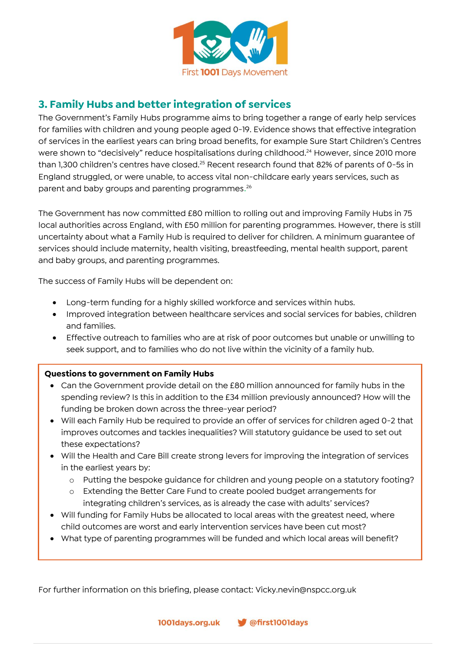

## **3. Family Hubs and better integration of services**

The Government's Family Hubs programme aims to bring together a range of early help services for families with children and young people aged 0-19. Evidence shows that effective integration of services in the earliest years can bring broad benefits, for example Sure Start Children's Centres were shown to "decisively" reduce hospitalisations during childhood.<sup>24</sup> However, since 2010 more than 1,300 children's centres have closed.<sup>25</sup> Recent research found that 82% of parents of 0-5s in England struggled, or were unable, to access vital non-childcare early years services, such as parent and baby groups and parenting programmes.<sup>26</sup>

The Government has now committed £80 million to rolling out and improving Family Hubs in 75 local authorities across England, with £50 million for parenting programmes. However, there is still uncertainty about what a Family Hub is required to deliver for children. A minimum guarantee of services should include maternity, health visiting, breastfeeding, mental health support, parent and baby groups, and parenting programmes.

The success of Family Hubs will be dependent on:

- Long-term funding for a highly skilled workforce and services within hubs.
- Improved integration between healthcare services and social services for babies, children and families.
- Effective outreach to families who are at risk of poor outcomes but unable or unwilling to seek support, and to families who do not live within the vicinity of a family hub.

### **Questions to government on Family Hubs**

- Can the Government provide detail on the £80 million announced for family hubs in the spending review? Is this in addition to the £34 million previously announced? How will the funding be broken down across the three-year period?
- Will each Family Hub be required to provide an offer of services for children aged 0-2 that improves outcomes and tackles inequalities? Will statutory guidance be used to set out these expectations?
- Will the Health and Care Bill create strong levers for improving the integration of services in the earliest years by:
	- o Putting the bespoke guidance for children and young people on a statutory footing?
	- o Extending the Better Care Fund to create pooled budget arrangements for integrating children's services, as is already the case with adults' services?
- Will funding for Family Hubs be allocated to local areas with the greatest need, where child outcomes are worst and early intervention services have been cut most?
- What type of parenting programmes will be funded and which local areas will benefit?

For further information on this briefing, please contact: Vicky.nevin@nspcc.org.uk